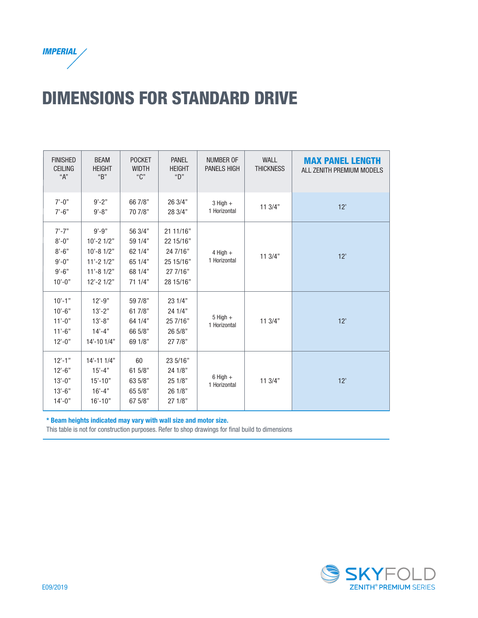

## DIMENSIONS FOR STANDARD DRIVE

| <b>FINISHED</b><br><b>CEILING</b><br>"А"                                       | <b>BEAM</b><br><b>HEIGHT</b><br>"B"                                                            | <b>POCKET</b><br><b>WIDTH</b><br>"C"                           | <b>PANEL</b><br><b>HEIGHT</b><br>"D"                                     | <b>NUMBER OF</b><br><b>PANELS HIGH</b> | WALL<br><b>THICKNESS</b> | <b>MAX PANEL LENGTH</b><br>ALL ZENITH PREMIUM MODELS |
|--------------------------------------------------------------------------------|------------------------------------------------------------------------------------------------|----------------------------------------------------------------|--------------------------------------------------------------------------|----------------------------------------|--------------------------|------------------------------------------------------|
| $7' - 0''$<br>$7' - 6"$                                                        | $9' - 2"$<br>$9' - 8"$                                                                         | 66 7/8"<br>70 7/8"                                             | 26 3/4"<br>28 3/4"                                                       | $3$ High $+$<br>1 Horizontal           | 113/4"                   | 12'                                                  |
| $7' - 7"$<br>$8' - 0''$<br>$8' - 6"$<br>$9' - 0''$<br>$9' - 6"$<br>$10' - 0''$ | $9' - 9"$<br>$10' - 21/2"$<br>$10' - 81/2"$<br>$11' - 21/2"$<br>$11' - 81/2"$<br>$12' - 21/2"$ | 56 3/4"<br>59 1/4"<br>62 1/4"<br>65 1/4"<br>68 1/4"<br>71 1/4" | 21 11/16"<br>22 15/16"<br>24 7/16"<br>25 15/16"<br>27 7/16"<br>28 15/16" | $4$ High $+$<br>1 Horizontal           | 113/4"                   | 12'                                                  |
| $10' - 1"$<br>$10' - 6"$<br>$11' - 0''$<br>$11'-6"$<br>$12 - 0$ "              | $12' - 9''$<br>$13'-2"$<br>$13' - 8"$<br>$14 - 4"$<br>14'-10 1/4"                              | 59 7/8"<br>61 7/8"<br>64 1/4"<br>66 5/8"<br>69 1/8"            | 23 1/4"<br>24 1/4"<br>25 7/16"<br>26 5/8"<br>27 7/8"                     | $5$ High $+$<br>1 Horizontal           | 11 3/4"                  | 12'                                                  |
| $12' - 1"$<br>$12 - 6$ "<br>$13' - 0''$<br>$13'-6$ "<br>$14' - 0''$            | $14' - 111'$<br>$15' - 4"$<br>$15' - 10"$<br>$16' - 4"$<br>$16' - 10"$                         | 60<br>61 5/8"<br>63 5/8"<br>65 5/8"<br>67 5/8"                 | 23 5/16"<br>24 1/8"<br>25 1/8"<br>26 1/8"<br>27 1/8"                     | $6$ High $+$<br>1 Horizontal           | 113/4"                   | 12'                                                  |

\* Beam heights indicated may vary with wall size and motor size.

This table is not for construction purposes. Refer to shop drawings for final build to dimensions